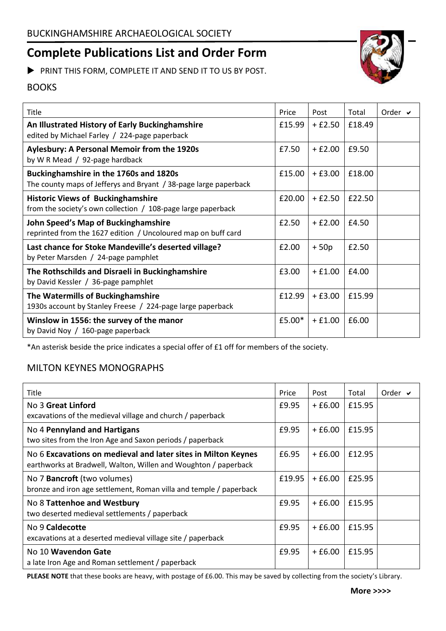# **Complete Publications List and Order Form**

PRINT THIS FORM, COMPLETE IT AND SEND IT TO US BY POST.

## BOOKS

| Title                                                                                                      | Price  | Post     | Total  | Order $\vee$ |
|------------------------------------------------------------------------------------------------------------|--------|----------|--------|--------------|
| An Illustrated History of Early Buckinghamshire<br>edited by Michael Farley / 224-page paperback           | £15.99 | $+£2.50$ | £18.49 |              |
| <b>Aylesbury: A Personal Memoir from the 1920s</b><br>by W R Mead / 92-page hardback                       | £7.50  | $+£2.00$ | £9.50  |              |
| Buckinghamshire in the 1760s and 1820s<br>The county maps of Jefferys and Bryant / 38-page large paperback | £15.00 | $+£3.00$ | £18.00 |              |
| <b>Historic Views of Buckinghamshire</b><br>from the society's own collection / 108-page large paperback   | £20.00 | $+£2.50$ | £22.50 |              |
| John Speed's Map of Buckinghamshire<br>reprinted from the 1627 edition / Uncoloured map on buff card       | £2.50  | $+£2.00$ | £4.50  |              |
| Last chance for Stoke Mandeville's deserted village?<br>by Peter Marsden / 24-page pamphlet                | £2.00  | $+50p$   | £2.50  |              |
| The Rothschilds and Disraeli in Buckinghamshire<br>by David Kessler / 36-page pamphlet                     | £3.00  | $+£1.00$ | £4.00  |              |
| The Watermills of Buckinghamshire<br>1930s account by Stanley Freese / 224-page large paperback            | £12.99 | $+£3.00$ | £15.99 |              |
| Winslow in 1556: the survey of the manor<br>by David Noy / 160-page paperback                              | £5.00* | $+£1.00$ | £6.00  |              |

\*An asterisk beside the price indicates a special offer of £1 off for members of the society.

### MILTON KEYNES MONOGRAPHS

| Title                                                                                                                            | Price  | Post     | Total  | Order $\vee$ |
|----------------------------------------------------------------------------------------------------------------------------------|--------|----------|--------|--------------|
| No 3 Great Linford                                                                                                               | £9.95  | $+£6.00$ | £15.95 |              |
| excavations of the medieval village and church / paperback                                                                       |        |          |        |              |
| No 4 Pennyland and Hartigans<br>two sites from the Iron Age and Saxon periods / paperback                                        | £9.95  | $+£6.00$ | £15.95 |              |
| No 6 Excavations on medieval and later sites in Milton Keynes<br>earthworks at Bradwell, Walton, Willen and Woughton / paperback | £6.95  | $+£6.00$ | £12.95 |              |
| No 7 Bancroft (two volumes)<br>bronze and iron age settlement, Roman villa and temple / paperback                                | £19.95 | $+£6.00$ | £25.95 |              |
| No 8 Tattenhoe and Westbury<br>two deserted medieval settlements / paperback                                                     | £9.95  | $+£6.00$ | £15.95 |              |
| No 9 Caldecotte<br>excavations at a deserted medieval village site / paperback                                                   | £9.95  | $+£6.00$ | £15.95 |              |
| No 10 Wavendon Gate<br>a late Iron Age and Roman settlement / paperback                                                          | £9.95  | $+£6.00$ | £15.95 |              |

PLEASE NOTE that these books are heavy, with postage of £6.00. This may be saved by collecting from the society's Library.